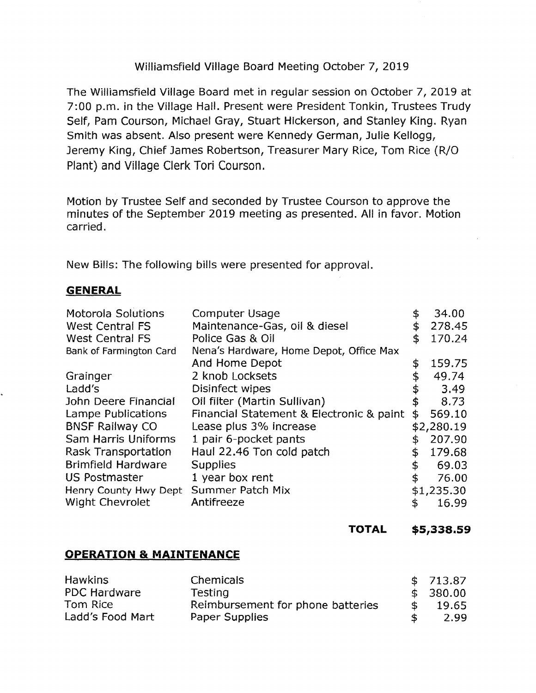# Williamsfield Village Board Meeting October 7, 2019

The Williamsfield Village Board met in regular session on October 7, 2019 at 7:00 p.m. in the Village Hall. Present were President Tonkin, Trustees Trudy Self, Pam Courson, Michael Gray, Stuart Hickerson, and Stanley King. Ryan Smith was absent. Also present were Kennedy German, Julie Kellogg, Jeremy King, Chief James Robertson, Treasurer Mary Rice, Tom Rice (R/0 Plant) and Village Clerk Tori Courson.

Motion by Trustee Self and seconded by Trustee Courson to approve the minutes of the September 2019 meeting as presented. All in favor. Motion carried.

New Bills: The following bills were presented for approval.

## **GENERAL**

|                                                                      | 278.45 |
|----------------------------------------------------------------------|--------|
| <b>West Central FS</b><br>Maintenance-Gas, oil & diesel<br>\$        |        |
| <b>West Central FS</b><br>Police Gas & Oil<br>\$                     | 170.24 |
| Nena's Hardware, Home Depot, Office Max<br>Bank of Farmington Card   |        |
| And Home Depot<br>\$                                                 | 159.75 |
| 2 knob Locksets<br>\$<br>Grainger                                    | 49.74  |
| Ladd's<br>Disinfect wipes<br>\$                                      | 3.49   |
| Oil filter (Martin Sullivan)<br>\$<br>John Deere Financial           | 8.73   |
| Financial Statement & Electronic & paint<br>Lampe Publications<br>\$ | 569.10 |
| <b>BNSF Railway CO</b><br>Lease plus 3% increase<br>\$2,280.19       |        |
| Sam Harris Uniforms<br>1 pair 6-pocket pants<br>\$                   | 207.90 |
| Haul 22.46 Ton cold patch<br>Rask Transportation<br>\$               | 179.68 |
| <b>Brimfield Hardware</b><br><b>Supplies</b><br>\$                   | 69.03  |
| 1 year box rent<br><b>US Postmaster</b><br>\$                        | 76.00  |
| Summer Patch Mix<br>Henry County Hwy Dept<br>\$1,235.30              |        |
| <b>Wight Chevrolet</b><br>Antifreeze<br>\$                           | 16.99  |

**TOTAL \$5,338.59** 

## **OPERATION & MAINTENANCE**

| <b>Hawkins</b>      | <b>Chemicals</b>                  |    | \$713.87 |
|---------------------|-----------------------------------|----|----------|
| <b>PDC Hardware</b> | Testing                           |    | \$380.00 |
| Tom Rice            | Reimbursement for phone batteries | S. | 19.65    |
| Ladd's Food Mart    | Paper Supplies                    |    | 2.99     |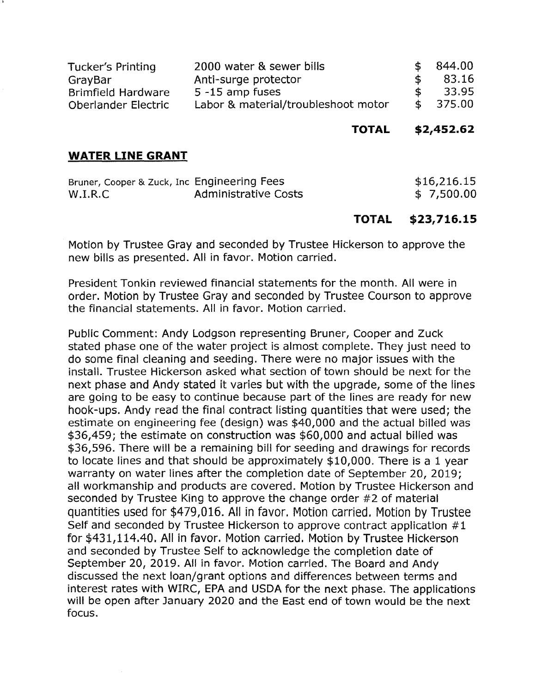| Tucker's Printing          | 2000 water & sewer bills            |    | \$844.00 |
|----------------------------|-------------------------------------|----|----------|
| GrayBar                    | Anti-surge protector                |    | 83.16    |
| <b>Brimfield Hardware</b>  | $5 - 15$ amp fuses                  |    | 33.95    |
| <b>Oberlander Electric</b> | Labor & material/troubleshoot motor | S. | 375.00   |

**TOTAL \$2,452.62** 

#### **WATER LINE GRANT**

| Bruner, Cooper & Zuck, Inc Engineering Fees |                      | \$16,216.15 |
|---------------------------------------------|----------------------|-------------|
| W.I.R.C                                     | Administrative Costs | \$7,500.00  |

### **TOTAL \$23,716.15**

Motion by Trustee Gray and seconded by Trustee Hickerson to approve the new bills as presented. All in favor. Motion carried.

President Tonkin reviewed financial statements for the month. All were in order. Motion by Trustee Gray and seconded by Trustee Courson to approve the financial statements. All in favor. Motion carried.

Public Comment: Andy Lodgson representing Bruner, Cooper and Zuck stated phase one of the water project is almost complete. They just need to do some final cleaning and seeding. There were no major issues with the install. Trustee Hickerson asked what section of town should be next for the next phase and Andy stated it varies but with the upgrade, some of the lines are going to be easy to continue because part of the lines are ready for new hook-ups. Andy read the final contract listing quantities that were used; the estimate on engineering fee (design) was \$40,000 and the actual billed was \$36,459; the estimate on construction was \$60,000 and actual billed was \$36,596. There will be a remaining bill for seeding and drawings for records to locate lines and that should be approximately \$10,000. There is a 1 year warranty on water lines after the completion date of September 20, 2019; all workmanship and products are covered. Motion by Trustee Hickerson and seconded by Trustee King to approve the change order #2 of material quantities used for \$479,016. All in favor. Motion carried. Motion by Trustee Self and seconded by Trustee Hickerson to approve contract application #1 for \$[431,114.40](https://431,114.40). All in favor. Motion carried. Motion by Trustee Hickerson and seconded by Trustee Self to acknowledge the completion date of September 20, 2019. All in favor. Motion carried. The Board and Andy discussed the next loan/grant options and differences between terms and interest rates with WIRC, EPA and USDA for the next phase. The applications will be open after January 2020 and the East end of town would be the next focus.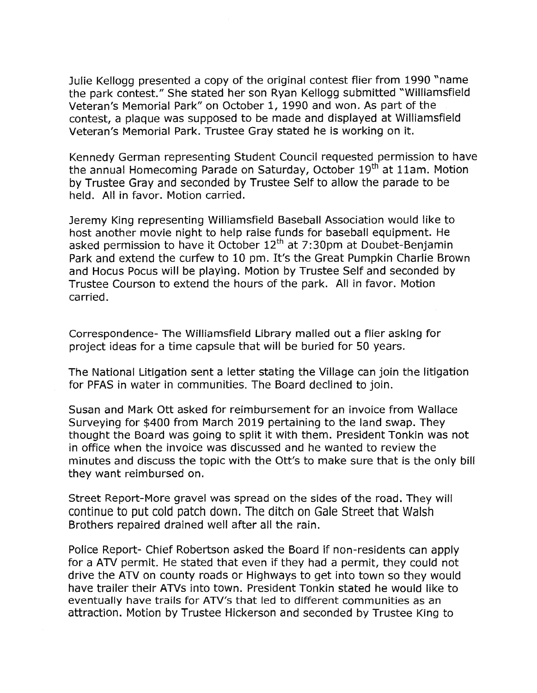Julie Kellogg presented a copy of the original contest flier from 1990 "name the park contest." She stated her son Ryan Kellogg submitted "Williamsfield Veteran's Memorial Park" on October 1, 1990 and won. As part of the contest, a plaque was supposed to be made and displayed at Williamsfield Veteran's Memorial Park. Trustee Gray stated he is working on it.

Kennedy German representing Student Council requested permission to have the annual Homecoming Parade on Saturday, October 19<sup>th</sup> at 11am. Motion by Trustee Gray and seconded by Trustee Self to allow the parade to be held. All in favor. Motion carried.

Jeremy King representing Williamsfield Baseball Association would like to host another movie night to help raise funds for baseball equipment. He asked permission to have it October  $12<sup>th</sup>$  at 7:30pm at Doubet-Benjamin Park and extend the curfew to 10 pm. It's the Great Pumpkin Charlie Brown and Hocus Pocus will be playing. Motion by Trustee Self and seconded by Trustee Courson to extend the hours of the park. All in favor. Motion carried.

Correspondence- The Williamsfield Library mailed out a flier asking for project ideas for a time capsule that will be buried for 50 years.

The National Litigation sent a letter stating the Village can join the litigation for PFAS in water in communities. The Board declined to join.

Susan and Mark Ott asked for reimbursement for an invoice from Wallace Surveying for \$400 from March 2019 pertaining to the land swap. They thought the Board was going to split it with them. President Tonkin was not in office when the invoice was discussed and he wanted to review the minutes and discuss the topic with the Ott's to make sure that is the only bill they want reimbursed on.

Street Report-More gravel was spread on the sides of the road. They will continue to put cold patch down. The ditch on Gale Street that Walsh Brothers repaired drained well after all the rain.

Police Report- Chief Robertson asked the Board if non-residents can apply for a ATV permit. He stated that even if they had a permit, they could not drive the ATV on county roads or Highways to get into town so they would have trailer their ATVs into town. President Tonkin stated he would like to eventually have trails for ATV's that led to different communities as an attraction. Motion by Trustee Hickerson and seconded by Trustee King to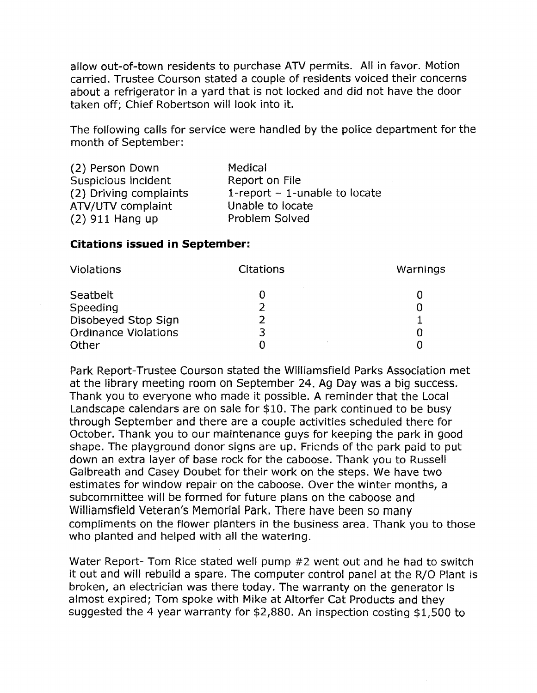allow out-of-town residents to purchase ATV permits. All in favor. Motion carried. Trustee Courson stated a couple of residents voiced their concerns about a refrigerator in a yard that is not locked and did not have the door taken off; Chief Robertson will look into it.

The following calls for service were handled by the police department for the month of September:

| (2) Person Down        | Medical                         |
|------------------------|---------------------------------|
| Suspicious incident    | Report on File                  |
| (2) Driving complaints | 1-report $-$ 1-unable to locate |
| ATV/UTV complaint      | Unable to locate                |
| $(2)$ 911 Hang up      | Problem Solved                  |

#### **Citations issued in September:**

| Violations                  | Citations | Warnings |
|-----------------------------|-----------|----------|
| Seatbelt                    |           |          |
| Speeding                    |           |          |
| Disobeyed Stop Sign         |           |          |
| <b>Ordinance Violations</b> | 3         |          |
| Other                       |           |          |

Park Report-Trustee Courson stated the Williamsfield Parks Association met at the library meeting room on September 24. Ag Day was a big success. Thank you to everyone who made it possible. A reminder that the Local Landscape calendars are on sale for \$10. The park continued to be busy through September and there are a couple activities scheduled there for October. Thank you to our maintenance guys for keeping the park in good shape. The playground donor signs are up. Friends of the park paid to put down an extra layer of base rock for the caboose. Thank you to Russell Galbreath and Casey Doubet for their work on the steps. We have two estimates for window repair on the caboose. Over the winter months, a subcommittee will be formed for future plans on the caboose and Williamsfield Veteran's Memorial Park. There have been so many compliments on the flower planters in the business area. Thank you to those who planted and helped with all the watering.

Water Report- Tom Rice stated well pump #2 went out and he had to switch it out and will rebuild a spare. The computer control panel at the R/O Plant is broken, an electrician was there today. The warranty on the generator is almost expired; Tom spoke with Mike at Altorfer Cat Products and they suggested the 4 year warranty for \$2,880. An inspection costing \$1,500 to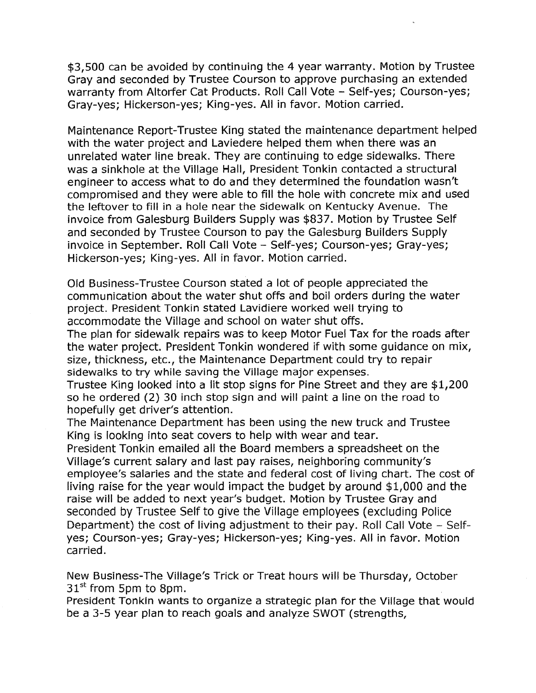\$3,500 can be avoided by continuing the 4 year warranty. Motion by Trustee Gray and seconded by Trustee Courson to approve purchasing an extended warranty from Altorfer Cat Products. Roll Call Vote - Self-yes; Courson-yes; Gray-yes; Hickerson-yes; King-yes. All in favor. Motion carried.

Maintenance Report-Trustee King stated the maintenance department helped with the water project and Laviedere helped them when there was an unrelated water line break. They are continuing to edge sidewalks. There was a sinkhole at the Village Hall, President Tonkin contacted a structural engineer to access what to do and they determined the foundation wasn't compromised and they were able to fill the hole with concrete mix and used the leftover to fill in a hole near the sidewalk on Kentucky Avenue. The invoice from Galesburg Builders Supply was \$837. Motion by Trustee Self and seconded by Trustee Courson to pay the Galesburg Builders Supply invoice in September. Roll Call Vote - Self-yes; Courson-yes; Gray-yes; Hickerson-yes; King-yes. All in favor. Motion carried.

Old Business-Trustee Courson stated a lot of people appreciated the communication about the water shut offs and boil orders during the water project. President Tonkin stated Lavidiere worked well trying to accommodate the Village and school on water shut offs.

The plan for sidewalk repairs was to keep Motor Fuel Tax for the roads after the water project. President Tonkin wondered if with some guidance on mix, size, thickness, etc., the Maintenance Department could try to repair sidewalks to try while saving the Village major expenses.

Trustee King looked into a lit stop signs for Pine Street and they are \$1,200 so he ordered (2) 30 inch stop sign and will paint a line on the road to hopefully get driver's attention.

The Maintenance Department has been using the new truck and Trustee King is looking into seat covers to help with wear and tear.

President Tonkin emailed all the Board members a spreadsheet on the Village's current salary and last pay raises, neighboring community's employee's salaries and the state and federal cost of living chart. The cost of living raise for the year would impact the budget by around \$1,000 and the raise will be added to next year's budget. Motion by Trustee Gray and seconded by Trustee Self to give the Village employees ( excluding Police Department) the cost of living adjustment to their pay. Roll Call Vote - Selfyes; Courson-yes; Gray-yes; Hickerson-yes; King-yes. All in favor. Motion carried.

New Business-The Village's Trick or Treat hours will be Thursday, October  $31<sup>st</sup>$  from 5pm to 8pm.

President Tonkin wants to organize a strategic plan for the Village that would be a 3-5 year plan to reach goals and analyze SWOT (strengths,